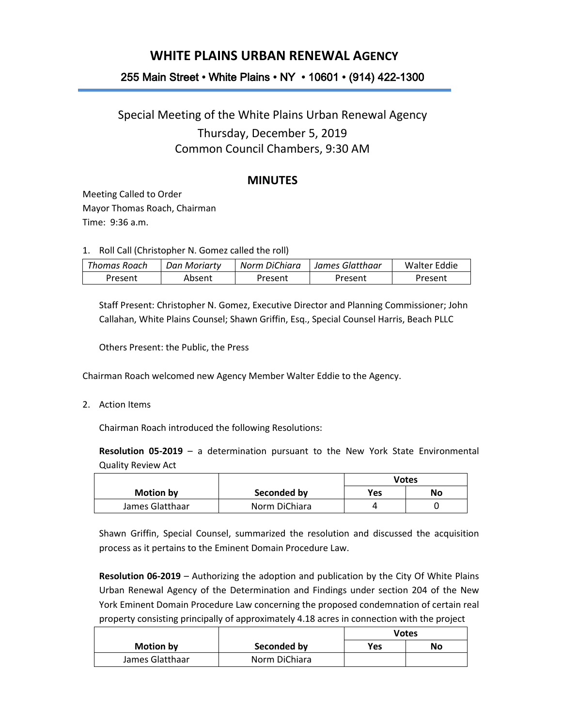## **WHITE PLAINS URBAN RENEWAL AGENCY**

## 255 Main Street • White Plains • NY • 10601 • (914) 422-1300

# Special Meeting of the White Plains Urban Renewal Agency Thursday, December 5, 2019 Common Council Chambers, 9:30 AM

### **MINUTES**

Meeting Called to Order Mayor Thomas Roach, Chairman Time: 9:36 a.m.

1. Roll Call (Christopher N. Gomez called the roll)

| Thomas Roach | Dan Moriartv | Norm DiChiara | - James Glatthaar | Walter Eddie |
|--------------|--------------|---------------|-------------------|--------------|
| Present      | Absent       | Present       | Present           | Present      |

Staff Present: Christopher N. Gomez, Executive Director and Planning Commissioner; John Callahan, White Plains Counsel; Shawn Griffin, Esq., Special Counsel Harris, Beach PLLC

Others Present: the Public, the Press

Chairman Roach welcomed new Agency Member Walter Eddie to the Agency.

2. Action Items

Chairman Roach introduced the following Resolutions:

**Resolution 05-2019** – a determination pursuant to the New York State Environmental Quality Review Act

|                  |               | <b>Votes</b> |    |
|------------------|---------------|--------------|----|
| <b>Motion by</b> | Seconded by   | Yes          | No |
| James Glatthaar  | Norm DiChiara | Δ            |    |

Shawn Griffin, Special Counsel, summarized the resolution and discussed the acquisition process as it pertains to the Eminent Domain Procedure Law.

**Resolution 06-2019** – Authorizing the adoption and publication by the City Of White Plains Urban Renewal Agency of the Determination and Findings under section 204 of the New York Eminent Domain Procedure Law concerning the proposed condemnation of certain real property consisting principally of approximately 4.18 acres in connection with the project

|                 |               | <b>Votes</b> |    |
|-----------------|---------------|--------------|----|
| Motion by       | Seconded by   | Yes          | No |
| James Glatthaar | Norm DiChiara |              |    |